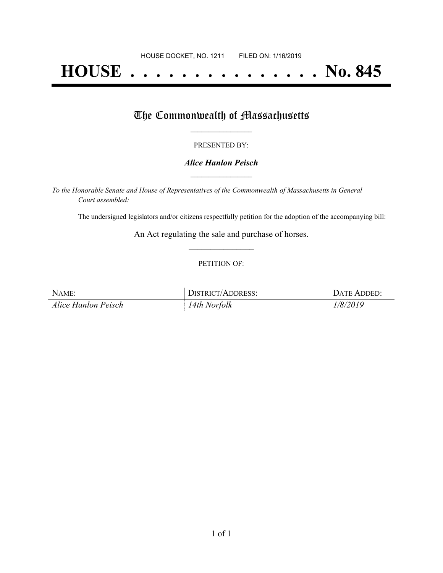# **HOUSE . . . . . . . . . . . . . . . No. 845**

## The Commonwealth of Massachusetts

#### PRESENTED BY:

#### *Alice Hanlon Peisch* **\_\_\_\_\_\_\_\_\_\_\_\_\_\_\_\_\_**

*To the Honorable Senate and House of Representatives of the Commonwealth of Massachusetts in General Court assembled:*

The undersigned legislators and/or citizens respectfully petition for the adoption of the accompanying bill:

An Act regulating the sale and purchase of horses. **\_\_\_\_\_\_\_\_\_\_\_\_\_\_\_**

#### PETITION OF:

| NAME:               | DISTRICT/ADDRESS: | <b>I DATE ADDED:</b> |
|---------------------|-------------------|----------------------|
| Alice Hanlon Peisch | 14th Norfolk      | 1/8/2019             |